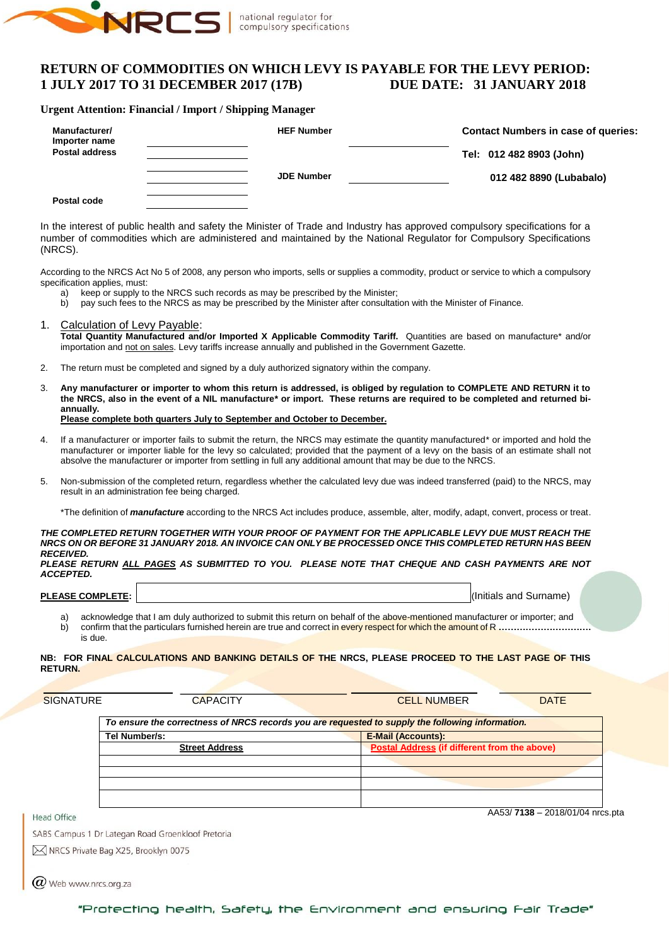

# **RETURN OF COMMODITIES ON WHICH LEVY IS PAYABLE FOR THE LEVY PERIOD: 1 JULY 2017 TO 31 DECEMBER 2017 (17B) DUE DATE: 31 JANUARY 2018**

### **Urgent Attention: Financial / Import / Shipping Manager**

| Manufacturer/<br>Importer name | <b>HEF Number</b> | <b>Contact Numbers in case of queries:</b> |
|--------------------------------|-------------------|--------------------------------------------|
| <b>Postal address</b>          |                   | Tel: 012 482 8903 (John)                   |
|                                | <b>JDE Number</b> | 012 482 8890 (Lubabalo)                    |
| Postal code                    |                   |                                            |

In the interest of public health and safety the Minister of Trade and Industry has approved compulsory specifications for a number of commodities which are administered and maintained by the National Regulator for Compulsory Specifications (NRCS).

According to the NRCS Act No 5 of 2008, any person who imports, sells or supplies a commodity, product or service to which a compulsory specification applies, must:<br>a) keep or supply to

- a) keep or supply to the NRCS such records as may be prescribed by the Minister;<br>b) pay such fees to the NRCS as may be prescribed by the Minister after consultation
- b) pay such fees to the NRCS as may be prescribed by the Minister after consultation with the Minister of Finance.
- 1. Calculation of Levy Payable: **Total Quantity Manufactured and/or Imported X Applicable Commodity Tariff.** Quantities are based on manufacture\* and/or importation and not on sales. Levy tariffs increase annually and published in the Government Gazette.
- 2. The return must be completed and signed by a duly authorized signatory within the company.
- 3. **Any manufacturer or importer to whom this return is addressed, is obliged by regulation to COMPLETE AND RETURN it to the NRCS, also in the event of a NIL manufacture\* or import. These returns are required to be completed and returned biannually. Please complete both quarters July to September and October to December.**
- 4. If a manufacturer or importer fails to submit the return, the NRCS may estimate the quantity manufactured\* or imported and hold the manufacturer or importer liable for the levy so calculated; provided that the payment of a levy on the basis of an estimate shall not absolve the manufacturer or importer from settling in full any additional amount that may be due to the NRCS.
- 5. Non-submission of the completed return, regardless whether the calculated levy due was indeed transferred (paid) to the NRCS, may result in an administration fee being charged.

\*The definition of *manufacture* according to the NRCS Act includes produce, assemble, alter, modify, adapt, convert, process or treat.

#### *THE COMPLETED RETURN TOGETHER WITH YOUR PROOF OF PAYMENT FOR THE APPLICABLE LEVY DUE MUST REACH THE NRCS ON OR BEFORE 31 JANUARY 2018. AN INVOICE CAN ONLY BE PROCESSED ONCE THIS COMPLETED RETURN HAS BEEN RECEIVED.*

*PLEASE RETURN ALL PAGES AS SUBMITTED TO YOU. PLEASE NOTE THAT CHEQUE AND CASH PAYMENTS ARE NOT ACCEPTED.*

| <b>PLEASE COMPLETE:</b> |  |
|-------------------------|--|
|                         |  |
|                         |  |
|                         |  |

**PLEASE COMPLETE:** I, (Initials and Surname)

a) acknowledge that I am duly authorized to submit this return on behalf of the above-mentioned manufacturer or importer; and b) confirm that the particulars furnished herein are true and correct in every respect for which the amount of R **………………………….** is due.

#### **NB: FOR FINAL CALCULATIONS AND BANKING DETAILS OF THE NRCS, PLEASE PROCEED TO THE LAST PAGE OF THIS RETURN.**

| <b>SIGNATURE</b> | <b>CAPACITY</b>                                                                                  | <b>CELL NUMBER</b>                           | <b>DATE</b> |
|------------------|--------------------------------------------------------------------------------------------------|----------------------------------------------|-------------|
|                  | To ensure the correctness of NRCS records you are requested to supply the following information. |                                              |             |
|                  | Tel Number/s:                                                                                    | <b>E-Mail (Accounts):</b>                    |             |
|                  | <b>Street Address</b>                                                                            | Postal Address (if different from the above) |             |
|                  |                                                                                                  |                                              |             |
|                  |                                                                                                  |                                              |             |
|                  |                                                                                                  |                                              |             |
|                  |                                                                                                  |                                              |             |
|                  |                                                                                                  |                                              |             |

AA53/ **7138** – 2018/01/04 nrcs.pta

SABS Campus 1 Dr Lategan Road Groenkloof Pretoria

M NRCS Private Bag X25, Brooklyn 0075

 $(\alpha)$  Web www.nrcs.org.za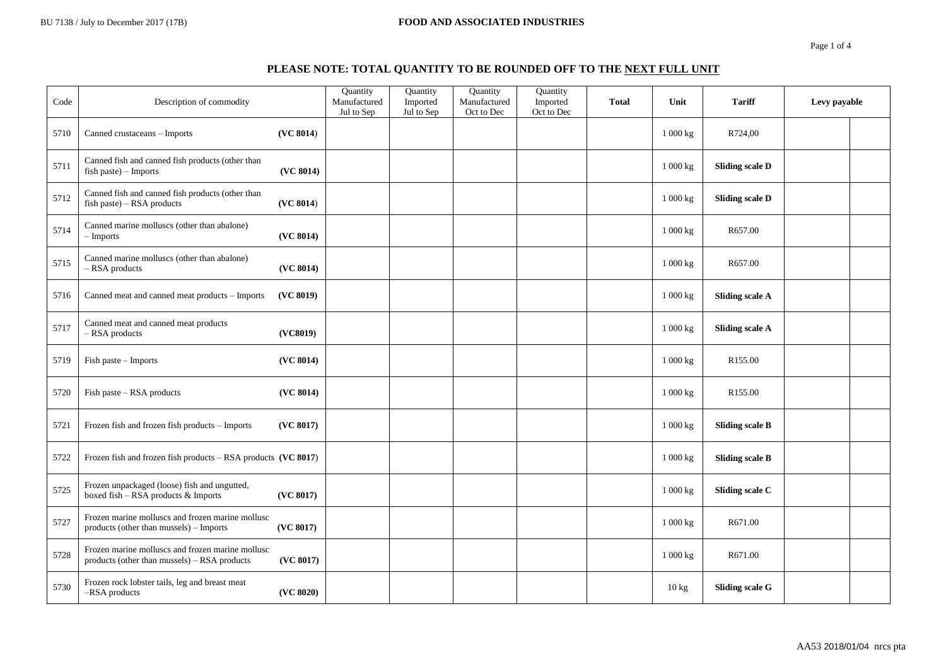#### BU 7138 / July to December 2017 (17B) **FOOD AND ASSOCIATED INDUSTRIES**

Page 1 of 4

# **PLEASE NOTE: TOTAL QUANTITY TO BE ROUNDED OFF TO THE NEXT FULL UNIT**

| Code | Description of commodity                                                                         |           | Quantity<br>Manufactured<br>Jul to Sep | Quantity<br>Imported<br>Jul to Sep | Quantity<br>Manufactured<br>Oct to Dec | Quantity<br>Imported<br>Oct to Dec | <b>Total</b> | Unit     | <b>Tariff</b>          | Levy payable |  |
|------|--------------------------------------------------------------------------------------------------|-----------|----------------------------------------|------------------------------------|----------------------------------------|------------------------------------|--------------|----------|------------------------|--------------|--|
| 5710 | Canned crustaceans - Imports                                                                     | (VC 8014) |                                        |                                    |                                        |                                    |              | 1 000 kg | R724,00                |              |  |
| 5711 | Canned fish and canned fish products (other than<br>$fish$ paste) – Imports                      | (VC 8014) |                                        |                                    |                                        |                                    |              | 1 000 kg | <b>Sliding scale D</b> |              |  |
| 5712 | Canned fish and canned fish products (other than<br>$fish$ paste) – RSA products                 | (VC 8014) |                                        |                                    |                                        |                                    |              | 1 000 kg | <b>Sliding scale D</b> |              |  |
| 5714 | Canned marine molluscs (other than abalone)<br>– Imports                                         | (VC 8014) |                                        |                                    |                                        |                                    |              | 1000 kg  | R657.00                |              |  |
| 5715 | Canned marine molluscs (other than abalone)<br>$-$ RSA products                                  | (VC 8014) |                                        |                                    |                                        |                                    |              | 1 000 kg | R657.00                |              |  |
| 5716 | Canned meat and canned meat products - Imports                                                   | (VC 8019) |                                        |                                    |                                        |                                    |              | 1 000 kg | <b>Sliding scale A</b> |              |  |
| 5717 | Canned meat and canned meat products<br>$-$ RSA products                                         | (VC8019)  |                                        |                                    |                                        |                                    |              | 1000 kg  | <b>Sliding scale A</b> |              |  |
| 5719 | Fish paste - Imports                                                                             | (VC 8014) |                                        |                                    |                                        |                                    |              | 1000 kg  | R <sub>155.00</sub>    |              |  |
| 5720 | Fish paste - RSA products                                                                        | (VC 8014) |                                        |                                    |                                        |                                    |              | 1 000 kg | R <sub>155.00</sub>    |              |  |
| 5721 | Frozen fish and frozen fish products - Imports                                                   | (VC 8017) |                                        |                                    |                                        |                                    |              | 1 000 kg | <b>Sliding scale B</b> |              |  |
| 5722 | Frozen fish and frozen fish products $-$ RSA products (VC 8017)                                  |           |                                        |                                    |                                        |                                    |              | 1 000 kg | <b>Sliding scale B</b> |              |  |
| 5725 | Frozen unpackaged (loose) fish and ungutted,<br>boxed fish - RSA products & Imports              | (VC 8017) |                                        |                                    |                                        |                                    |              | 1 000 kg | Sliding scale C        |              |  |
| 5727 | Frozen marine molluscs and frozen marine mollusc<br>products (other than mussels) - Imports      | (VC 8017) |                                        |                                    |                                        |                                    |              | 1 000 kg | R671.00                |              |  |
| 5728 | Frozen marine molluscs and frozen marine mollusc<br>products (other than mussels) - RSA products | (VC 8017) |                                        |                                    |                                        |                                    |              | 1000 kg  | R671.00                |              |  |
| 5730 | Frozen rock lobster tails, leg and breast meat<br>-RSA products                                  | (VC 8020) |                                        |                                    |                                        |                                    |              | 10 kg    | <b>Sliding scale G</b> |              |  |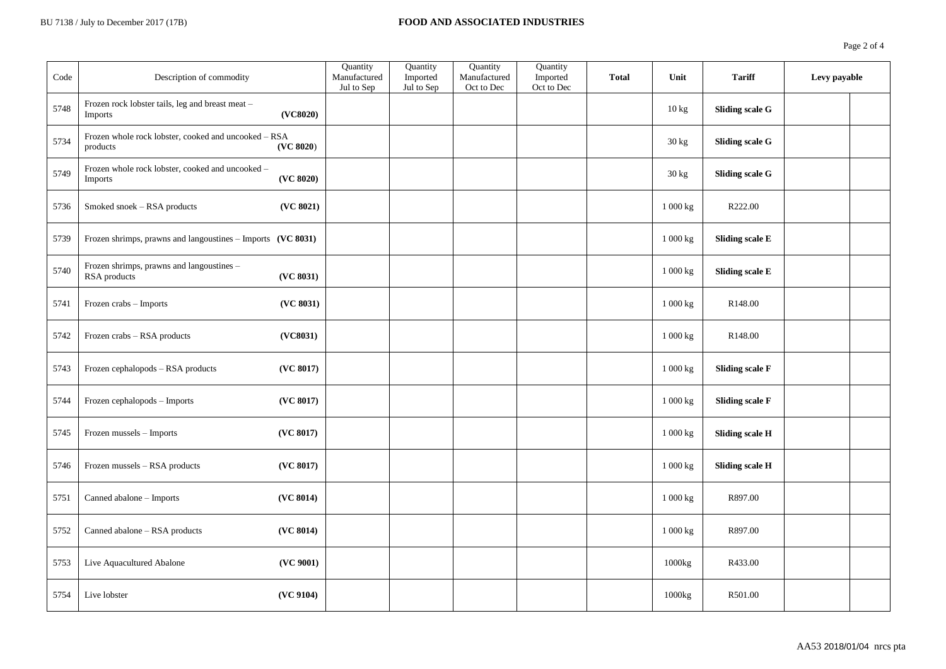| Code | Description of commodity                                                       | <b>Ouantity</b><br>Manufactured<br>Jul to Sep | Quantity<br>Imported<br>Jul to Sep | Quantity<br>Manufactured<br>Oct to Dec | Quantity<br>Imported<br>Oct to Dec | <b>Total</b> | Unit     | <b>Tariff</b>          | Levy payable |  |
|------|--------------------------------------------------------------------------------|-----------------------------------------------|------------------------------------|----------------------------------------|------------------------------------|--------------|----------|------------------------|--------------|--|
| 5748 | Frozen rock lobster tails, leg and breast meat -<br>(VC8020)<br><b>Imports</b> |                                               |                                    |                                        |                                    |              | 10 kg    | <b>Sliding scale G</b> |              |  |
| 5734 | Frozen whole rock lobster, cooked and uncooked - RSA<br>(VC 8020)<br>products  |                                               |                                    |                                        |                                    |              | 30 kg    | <b>Sliding scale G</b> |              |  |
| 5749 | Frozen whole rock lobster, cooked and uncooked -<br>(VC 8020)<br>Imports       |                                               |                                    |                                        |                                    |              | 30 kg    | <b>Sliding scale G</b> |              |  |
| 5736 | Smoked snoek - RSA products<br>(VC 8021)                                       |                                               |                                    |                                        |                                    |              | 1 000 kg | R222.00                |              |  |
| 5739 | Frozen shrimps, prawns and langoustines - Imports (VC 8031)                    |                                               |                                    |                                        |                                    |              | 1 000 kg | <b>Sliding scale E</b> |              |  |
| 5740 | Frozen shrimps, prawns and langoustines -<br>(VC 8031)<br>RSA products         |                                               |                                    |                                        |                                    |              | 1 000 kg | <b>Sliding scale E</b> |              |  |
| 5741 | (VC 8031)<br>Frozen crabs - Imports                                            |                                               |                                    |                                        |                                    |              | 1 000 kg | R148.00                |              |  |
| 5742 | Frozen crabs - RSA products<br>(VC8031)                                        |                                               |                                    |                                        |                                    |              | 1000 kg  | R <sub>148.00</sub>    |              |  |
| 5743 | Frozen cephalopods - RSA products<br>(VC 8017)                                 |                                               |                                    |                                        |                                    |              | 1 000 kg | <b>Sliding scale F</b> |              |  |
| 5744 | Frozen cephalopods - Imports<br>(VC 8017)                                      |                                               |                                    |                                        |                                    |              | 1 000 kg | <b>Sliding scale F</b> |              |  |
| 5745 | (VC 8017)<br>Frozen mussels - Imports                                          |                                               |                                    |                                        |                                    |              | 1 000 kg | <b>Sliding scale H</b> |              |  |
| 5746 | Frozen mussels - RSA products<br>(VC 8017)                                     |                                               |                                    |                                        |                                    |              | 1 000 kg | <b>Sliding scale H</b> |              |  |
| 5751 | Canned abalone - Imports<br>(VC 8014)                                          |                                               |                                    |                                        |                                    |              | 1 000 kg | R897.00                |              |  |
| 5752 | Canned abalone - RSA products<br>(VC 8014)                                     |                                               |                                    |                                        |                                    |              | 1 000 kg | R897.00                |              |  |
| 5753 | (VC 9001)<br>Live Aquacultured Abalone                                         |                                               |                                    |                                        |                                    |              | 1000kg   | R433.00                |              |  |
| 5754 | (VC 9104)<br>Live lobster                                                      |                                               |                                    |                                        |                                    |              | 1000kg   | R501.00                |              |  |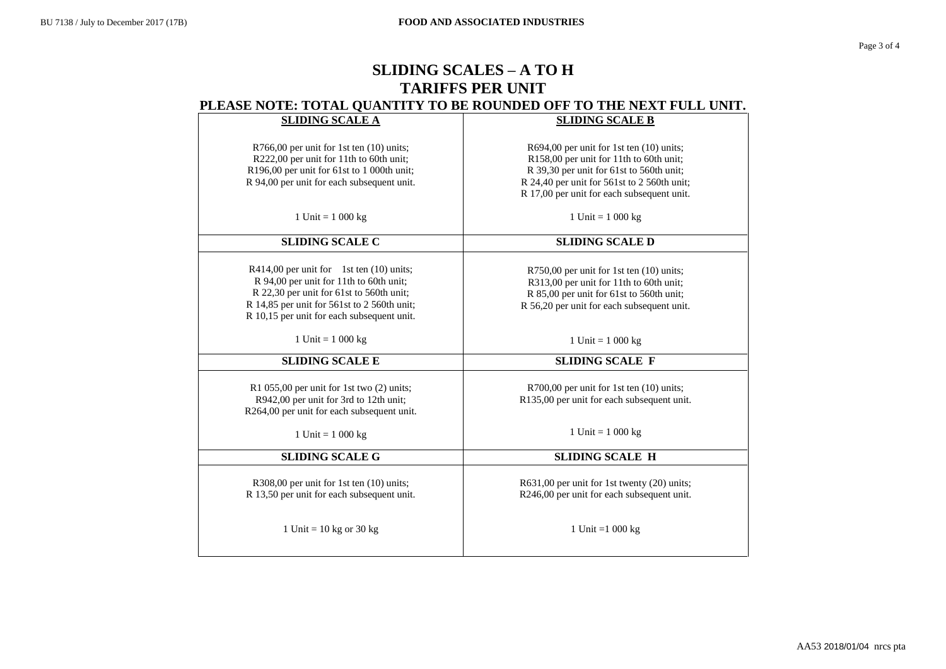# **SLIDING SCALES – A TO H TARIFFS PER UNIT PLEASE NOTE: TOTAL QUANTITY TO BE ROUNDED OFF TO THE NEXT FULL UNIT.**

| <b>SLIDING SCALE A</b>                                                                                                                                                                                                           | <b>SLIDING SCALE B</b>                                                                                                                                                                                                       |
|----------------------------------------------------------------------------------------------------------------------------------------------------------------------------------------------------------------------------------|------------------------------------------------------------------------------------------------------------------------------------------------------------------------------------------------------------------------------|
| R766,00 per unit for 1st ten (10) units;<br>R222,00 per unit for 11th to 60th unit;<br>R196,00 per unit for 61st to 1 000th unit;<br>R 94,00 per unit for each subsequent unit.                                                  | R694,00 per unit for 1st ten (10) units;<br>R158,00 per unit for 11th to 60th unit;<br>R 39,30 per unit for 61st to 560th unit;<br>R 24,40 per unit for 561st to 2 560th unit;<br>R 17,00 per unit for each subsequent unit. |
| 1 Unit = $1\ 000\ kg$                                                                                                                                                                                                            | 1 Unit = $1\ 000\ kg$                                                                                                                                                                                                        |
| <b>SLIDING SCALE C</b>                                                                                                                                                                                                           | <b>SLIDING SCALE D</b>                                                                                                                                                                                                       |
| $R414,00$ per unit for 1st ten $(10)$ units;<br>R 94,00 per unit for 11th to 60th unit;<br>R 22,30 per unit for 61st to 560th unit;<br>R 14,85 per unit for 561st to 2 560th unit;<br>R 10,15 per unit for each subsequent unit. | R750,00 per unit for 1st ten (10) units;<br>R313,00 per unit for 11th to 60th unit;<br>R 85,00 per unit for 61st to 560th unit;<br>R 56,20 per unit for each subsequent unit.                                                |
| 1 Unit = $1\ 000\ kg$                                                                                                                                                                                                            | 1 Unit = $1\ 000\ kg$                                                                                                                                                                                                        |
| <b>SLIDING SCALE E</b>                                                                                                                                                                                                           | <b>SLIDING SCALE F</b>                                                                                                                                                                                                       |
| R1 055,00 per unit for 1st two (2) units;<br>R942,00 per unit for 3rd to 12th unit;<br>R264,00 per unit for each subsequent unit.                                                                                                | R700,00 per unit for 1st ten (10) units;<br>R135,00 per unit for each subsequent unit.                                                                                                                                       |
| 1 Unit = $1\ 000\ kg$                                                                                                                                                                                                            | 1 Unit = $1000 kg$                                                                                                                                                                                                           |
| <b>SLIDING SCALE G</b>                                                                                                                                                                                                           | <b>SLIDING SCALE H</b>                                                                                                                                                                                                       |
| R308,00 per unit for 1st ten (10) units;<br>R 13,50 per unit for each subsequent unit.                                                                                                                                           | R631,00 per unit for 1st twenty (20) units;<br>R246,00 per unit for each subsequent unit.                                                                                                                                    |
| 1 Unit = $10$ kg or $30$ kg                                                                                                                                                                                                      | 1 Unit = $1000 \text{ kg}$                                                                                                                                                                                                   |